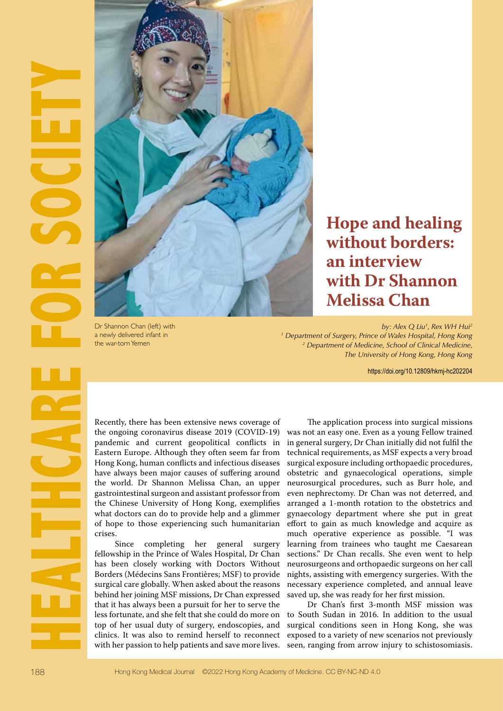

Dr Shannon Chan (left) with a newly delivered infant in the war-torn Yemen

## **Hope and healing without borders: an interview with Dr Shannon Melissa Chan**

*by: Alex Q Liu1 , Rex WH Hui2 1 Department of Surgery, Prince of Wales Hospital, Hong Kong 2 Department of Medicine, School of Clinical Medicine, The University of Hong Kong, Hong Kong*

https://doi.org/10.12809/hkmj-hc202204

Recently, there has been extensive news coverage of the ongoing coronavirus disease 2019 (COVID-19) pandemic and current geopolitical conflicts in Eastern Europe. Although they often seem far from Hong Kong, human conflicts and infectious diseases have always been major causes of suffering around the world. Dr Shannon Melissa Chan, an upper gastrointestinal surgeon and assistant professor from the Chinese University of Hong Kong, exemplifies what doctors can do to provide help and a glimmer of hope to those experiencing such humanitarian crises.

Since completing her general surgery fellowship in the Prince of Wales Hospital, Dr Chan has been closely working with Doctors Without Borders (Médecins Sans Frontières; MSF) to provide surgical care globally. When asked about the reasons behind her joining MSF missions, Dr Chan expressed that it has always been a pursuit for her to serve the less fortunate, and she felt that she could do more on top of her usual duty of surgery, endoscopies, and clinics. It was also to remind herself to reconnect with her passion to help patients and save more lives.

The application process into surgical missions was not an easy one. Even as a young Fellow trained in general surgery, Dr Chan initially did not fulfil the technical requirements, as MSF expects a very broad surgical exposure including orthopaedic procedures, obstetric and gynaecological operations, simple neurosurgical procedures, such as Burr hole, and even nephrectomy. Dr Chan was not deterred, and arranged a 1-month rotation to the obstetrics and gynaecology department where she put in great effort to gain as much knowledge and acquire as much operative experience as possible. "I was learning from trainees who taught me Caesarean sections." Dr Chan recalls. She even went to help neurosurgeons and orthopaedic surgeons on her call nights, assisting with emergency surgeries. With the necessary experience completed, and annual leave saved up, she was ready for her first mission.

Dr Chan's first 3-month MSF mission was to South Sudan in 2016. In addition to the usual surgical conditions seen in Hong Kong, she was exposed to a variety of new scenarios not previously seen, ranging from arrow injury to schistosomiasis.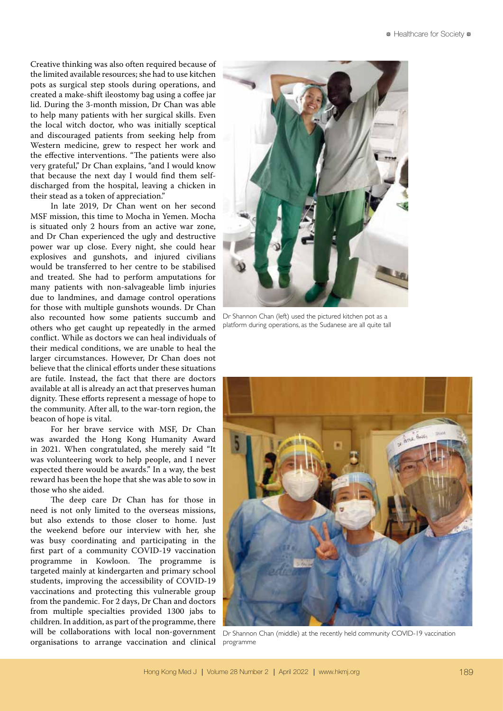Creative thinking was also often required because of the limited available resources; she had to use kitchen pots as surgical step stools during operations, and created a make-shift ileostomy bag using a coffee jar lid. During the 3-month mission, Dr Chan was able to help many patients with her surgical skills. Even the local witch doctor, who was initially sceptical and discouraged patients from seeking help from Western medicine, grew to respect her work and the effective interventions. "The patients were also very grateful," Dr Chan explains, "and I would know that because the next day I would find them selfdischarged from the hospital, leaving a chicken in their stead as a token of appreciation."

In late 2019, Dr Chan went on her second MSF mission, this time to Mocha in Yemen. Mocha is situated only 2 hours from an active war zone, and Dr Chan experienced the ugly and destructive power war up close. Every night, she could hear explosives and gunshots, and injured civilians would be transferred to her centre to be stabilised and treated. She had to perform amputations for many patients with non-salvageable limb injuries due to landmines, and damage control operations for those with multiple gunshots wounds. Dr Chan also recounted how some patients succumb and others who get caught up repeatedly in the armed conflict. While as doctors we can heal individuals of their medical conditions, we are unable to heal the larger circumstances. However, Dr Chan does not believe that the clinical efforts under these situations are futile. Instead, the fact that there are doctors available at all is already an act that preserves human dignity. These efforts represent a message of hope to the community. After all, to the war-torn region, the beacon of hope is vital.

For her brave service with MSF, Dr Chan was awarded the Hong Kong Humanity Award in 2021. When congratulated, she merely said "It was volunteering work to help people, and I never expected there would be awards." In a way, the best reward has been the hope that she was able to sow in those who she aided.

The deep care Dr Chan has for those in need is not only limited to the overseas missions, but also extends to those closer to home. Just the weekend before our interview with her, she was busy coordinating and participating in the first part of a community COVID-19 vaccination programme in Kowloon. The programme is targeted mainly at kindergarten and primary school students, improving the accessibility of COVID-19 vaccinations and protecting this vulnerable group from the pandemic. For 2 days, Dr Chan and doctors from multiple specialties provided 1300 jabs to children. In addition, as part of the programme, there will be collaborations with local non-government organisations to arrange vaccination and clinical programme



Dr Shannon Chan (left) used the pictured kitchen pot as a platform during operations, as the Sudanese are all quite tall



Dr Shannon Chan (middle) at the recently held community COVID-19 vaccination